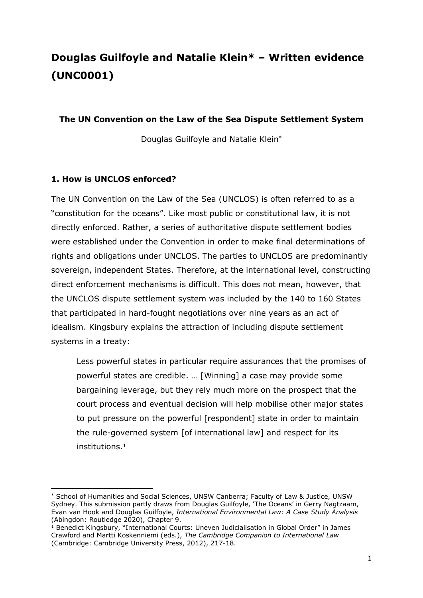# **Douglas Guilfoyle and Natalie Klein\* – Written evidence (UNC0001)**

#### **The UN Convention on the Law of the Sea Dispute Settlement System**

Douglas Guilfoyle and Natalie Klein\*

#### **1. How is UNCLOS enforced?**

The UN Convention on the Law of the Sea (UNCLOS) is often referred to as a "constitution for the oceans". Like most public or constitutional law, it is not directly enforced. Rather, a series of authoritative dispute settlement bodies were established under the Convention in order to make final determinations of rights and obligations under UNCLOS. The parties to UNCLOS are predominantly sovereign, independent States. Therefore, at the international level, constructing direct enforcement mechanisms is difficult. This does not mean, however, that the UNCLOS dispute settlement system was included by the 140 to 160 States that participated in hard-fought negotiations over nine years as an act of idealism. Kingsbury explains the attraction of including dispute settlement systems in a treaty:

Less powerful states in particular require assurances that the promises of powerful states are credible. … [Winning] a case may provide some bargaining leverage, but they rely much more on the prospect that the court process and eventual decision will help mobilise other major states to put pressure on the powerful [respondent] state in order to maintain the rule-governed system [of international law] and respect for its institutions.<sup>1</sup>

<sup>\*</sup> School of Humanities and Social Sciences, UNSW Canberra; Faculty of Law & Justice, UNSW Sydney. This submission partly draws from Douglas Guilfoyle, 'The Oceans' in Gerry Nagtzaam, Evan van Hook and Douglas Guilfoyle, *International Environmental Law: A Case Study Analysis* (Abingdon: Routledge 2020), Chapter 9.

<sup>&</sup>lt;sup>1</sup> Benedict Kingsbury, "International Courts: Uneven Judicialisation in Global Order" in James Crawford and Martti Koskenniemi (eds.), *The Cambridge Companion to International Law* (Cambridge: Cambridge University Press, 2012), 217-18.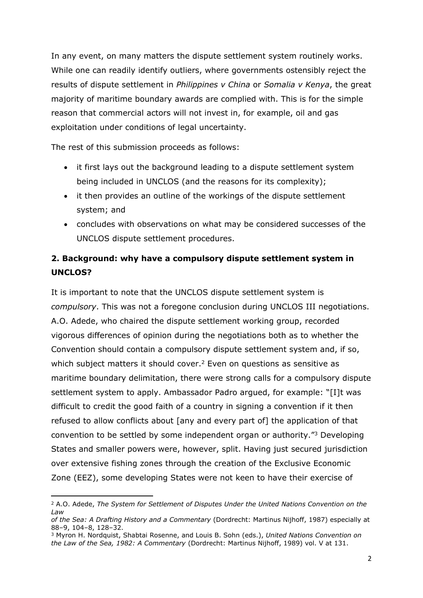In any event, on many matters the dispute settlement system routinely works. While one can readily identify outliers, where governments ostensibly reject the results of dispute settlement in *Philippines v China* or *Somalia v Kenya*, the great majority of maritime boundary awards are complied with. This is for the simple reason that commercial actors will not invest in, for example, oil and gas exploitation under conditions of legal uncertainty.

The rest of this submission proceeds as follows:

- it first lays out the background leading to a dispute settlement system being included in UNCLOS (and the reasons for its complexity);
- it then provides an outline of the workings of the dispute settlement system; and
- concludes with observations on what may be considered successes of the UNCLOS dispute settlement procedures.

### **2. Background: why have a compulsory dispute settlement system in UNCLOS?**

It is important to note that the UNCLOS dispute settlement system is *compulsory*. This was not a foregone conclusion during UNCLOS III negotiations. A.O. Adede, who chaired the dispute settlement working group, recorded vigorous differences of opinion during the negotiations both as to whether the Convention should contain a compulsory dispute settlement system and, if so, which subject matters it should cover.<sup>2</sup> Even on questions as sensitive as maritime boundary delimitation, there were strong calls for a compulsory dispute settlement system to apply. Ambassador Padro argued, for example: "[I]t was difficult to credit the good faith of a country in signing a convention if it then refused to allow conflicts about [any and every part of] the application of that convention to be settled by some independent organ or authority."<sup>3</sup> Developing States and smaller powers were, however, split. Having just secured jurisdiction over extensive fishing zones through the creation of the Exclusive Economic Zone (EEZ), some developing States were not keen to have their exercise of

<sup>2</sup> A.O. Adede, *The System for Settlement of Disputes Under the United Nations Convention on the Law*

*of the Sea: A Drafting History and a Commentary* (Dordrecht: Martinus Nijhoff, 1987) especially at 88–9, 104–8, 128–32.

<sup>3</sup> Myron H. Nordquist, Shabtai Rosenne, and Louis B. Sohn (eds.), *United Nations Convention on the Law of the Sea, 1982: A Commentary* (Dordrecht: Martinus Nijhoff, 1989) vol. V at 131.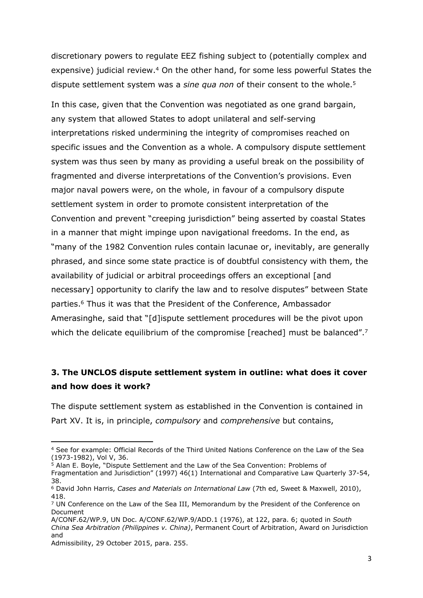discretionary powers to regulate EEZ fishing subject to (potentially complex and expensive) judicial review.<sup>4</sup> On the other hand, for some less powerful States the dispute settlement system was a *sine qua non* of their consent to the whole.<sup>5</sup>

In this case, given that the Convention was negotiated as one grand bargain, any system that allowed States to adopt unilateral and self-serving interpretations risked undermining the integrity of compromises reached on specific issues and the Convention as a whole. A compulsory dispute settlement system was thus seen by many as providing a useful break on the possibility of fragmented and diverse interpretations of the Convention's provisions. Even major naval powers were, on the whole, in favour of a compulsory dispute settlement system in order to promote consistent interpretation of the Convention and prevent "creeping jurisdiction" being asserted by coastal States in a manner that might impinge upon navigational freedoms. In the end, as "many of the 1982 Convention rules contain lacunae or, inevitably, are generally phrased, and since some state practice is of doubtful consistency with them, the availability of judicial or arbitral proceedings offers an exceptional [and necessary] opportunity to clarify the law and to resolve disputes" between State parties.<sup>6</sup> Thus it was that the President of the Conference, Ambassador Amerasinghe, said that "[d]ispute settlement procedures will be the pivot upon which the delicate equilibrium of the compromise [reached] must be balanced".<sup>7</sup>

### **3. The UNCLOS dispute settlement system in outline: what does it cover and how does it work?**

The dispute settlement system as established in the Convention is contained in Part XV. It is, in principle, *compulsory* and *comprehensive* but contains,

<sup>4</sup> See for example: Official Records of the Third United Nations Conference on the Law of the Sea (1973-1982), Vol V, 36.

 $5$  Alan E. Boyle, "Dispute Settlement and the Law of the Sea Convention: Problems of

Fragmentation and Jurisdiction" (1997) 46(1) International and Comparative Law Quarterly 37-54, 38.

<sup>6</sup> David John Harris, *Cases and Materials on International Law* (7th ed, Sweet & Maxwell, 2010), 418.

<sup>7</sup> UN Conference on the Law of the Sea III, Memorandum by the President of the Conference on Document

A/CONF.62/WP.9, UN Doc. A/CONF.62/WP.9/ADD.1 (1976), at 122, para. 6; quoted in *South China Sea Arbitration (Philippines v. China)*, Permanent Court of Arbitration, Award on Jurisdiction and

Admissibility, 29 October 2015, para. 255.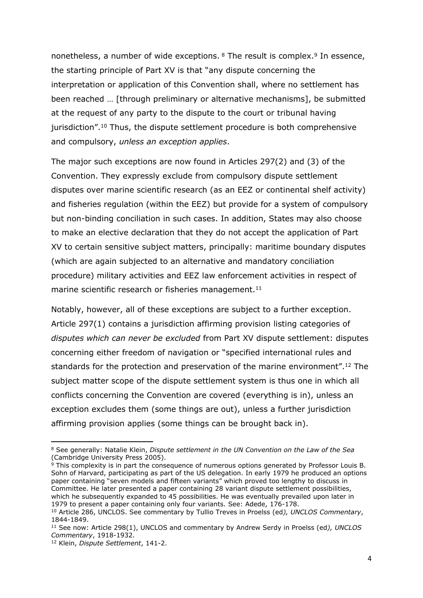nonetheless, a number of wide exceptions. <sup>8</sup> The result is complex.<sup>9</sup> In essence, the starting principle of Part XV is that "any dispute concerning the interpretation or application of this Convention shall, where no settlement has been reached … [through preliminary or alternative mechanisms], be submitted at the request of any party to the dispute to the court or tribunal having jurisdiction".<sup>10</sup> Thus, the dispute settlement procedure is both comprehensive and compulsory, *unless an exception applies*.

The major such exceptions are now found in Articles 297(2) and (3) of the Convention. They expressly exclude from compulsory dispute settlement disputes over marine scientific research (as an EEZ or continental shelf activity) and fisheries regulation (within the EEZ) but provide for a system of compulsory but non-binding conciliation in such cases. In addition, States may also choose to make an elective declaration that they do not accept the application of Part XV to certain sensitive subject matters, principally: maritime boundary disputes (which are again subjected to an alternative and mandatory conciliation procedure) military activities and EEZ law enforcement activities in respect of marine scientific research or fisheries management.<sup>11</sup>

Notably, however, all of these exceptions are subject to a further exception. Article 297(1) contains a jurisdiction affirming provision listing categories of *disputes which can never be excluded* from Part XV dispute settlement: disputes concerning either freedom of navigation or "specified international rules and standards for the protection and preservation of the marine environment".<sup>12</sup> The subject matter scope of the dispute settlement system is thus one in which all conflicts concerning the Convention are covered (everything is in), unless an exception excludes them (some things are out), unless a further jurisdiction affirming provision applies (some things can be brought back in).

<sup>8</sup> See generally: Natalie Klein, *Dispute settlement in the UN Convention on the Law of the Sea* (Cambridge University Press 2005).

 $9$  This complexity is in part the consequence of numerous options generated by Professor Louis B. Sohn of Harvard, participating as part of the US delegation. In early 1979 he produced an options paper containing "seven models and fifteen variants" which proved too lengthy to discuss in Committee. He later presented a paper containing 28 variant dispute settlement possibilities, which he subsequently expanded to 45 possibilities. He was eventually prevailed upon later in 1979 to present a paper containing only four variants. See: Adede, 176-178.

<sup>10</sup> Article 286, UNCLOS. See commentary by Tullio Treves in Proelss (ed*), UNCLOS Commentary*, 1844-1849.

<sup>11</sup> See now: Article 298(1), UNCLOS and commentary by Andrew Serdy in Proelss (ed*), UNCLOS Commentary*, 1918-1932.

<sup>12</sup> Klein, *Dispute Settlement*, 141-2.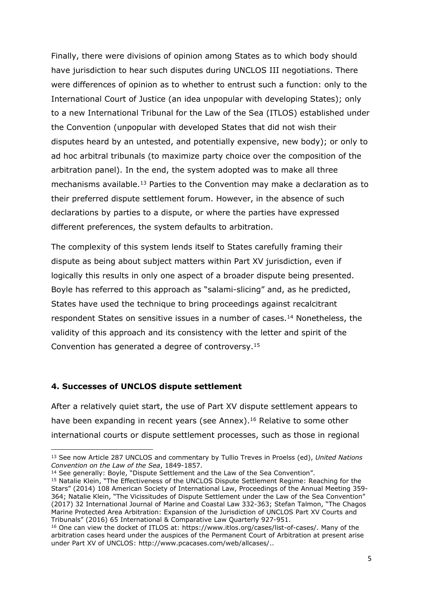Finally, there were divisions of opinion among States as to which body should have jurisdiction to hear such disputes during UNCLOS III negotiations. There were differences of opinion as to whether to entrust such a function: only to the International Court of Justice (an idea unpopular with developing States); only to a new International Tribunal for the Law of the Sea (ITLOS) established under the Convention (unpopular with developed States that did not wish their disputes heard by an untested, and potentially expensive, new body); or only to ad hoc arbitral tribunals (to maximize party choice over the composition of the arbitration panel). In the end, the system adopted was to make all three mechanisms available.<sup>13</sup> Parties to the Convention may make a declaration as to their preferred dispute settlement forum. However, in the absence of such declarations by parties to a dispute, or where the parties have expressed different preferences, the system defaults to arbitration.

The complexity of this system lends itself to States carefully framing their dispute as being about subject matters within Part XV jurisdiction, even if logically this results in only one aspect of a broader dispute being presented. Boyle has referred to this approach as "salami-slicing" and, as he predicted, States have used the technique to bring proceedings against recalcitrant respondent States on sensitive issues in a number of cases.<sup>14</sup> Nonetheless, the validity of this approach and its consistency with the letter and spirit of the Convention has generated a degree of controversy.<sup>15</sup>

#### **4. Successes of UNCLOS dispute settlement**

After a relatively quiet start, the use of Part XV dispute settlement appears to have been expanding in recent years (see Annex).<sup>16</sup> Relative to some other international courts or dispute settlement processes, such as those in regional

<sup>13</sup> See now Article 287 UNCLOS and commentary by Tullio Treves in Proelss (ed), *United Nations Convention on the Law of the Sea*, 1849-1857.

<sup>&</sup>lt;sup>14</sup> See generally: Boyle, "Dispute Settlement and the Law of the Sea Convention".

<sup>15</sup> Natalie Klein, "The Effectiveness of the UNCLOS Dispute Settlement Regime: Reaching for the Stars" (2014) 108 American Society of International Law, Proceedings of the Annual Meeting 359- 364; Natalie Klein, "The Vicissitudes of Dispute Settlement under the Law of the Sea Convention" (2017) 32 International Journal of Marine and Coastal Law 332-363; Stefan Talmon, "The Chagos Marine Protected Area Arbitration: Expansion of the Jurisdiction of UNCLOS Part XV Courts and Tribunals" (2016) 65 International & Comparative Law Quarterly 927-951.

<sup>&</sup>lt;sup>16</sup> One can view the docket of ITLOS at: https://www.itlos.org/cases/list-of-cases/. Many of the arbitration cases heard under the auspices of the Permanent Court of Arbitration at present arise under Part XV of UNCLOS: http://www.pcacases.com/web/allcases/..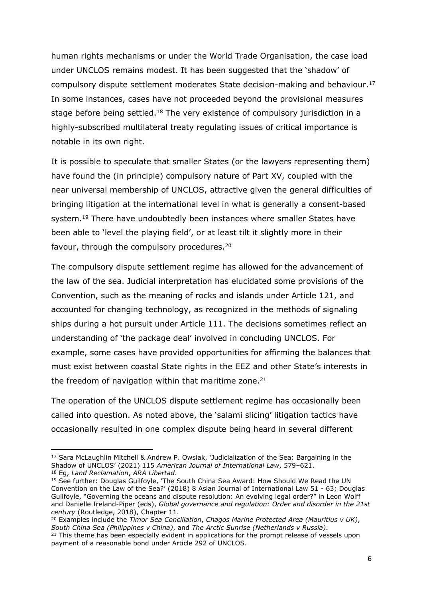human rights mechanisms or under the World Trade Organisation, the case load under UNCLOS remains modest. It has been suggested that the 'shadow' of compulsory dispute settlement moderates State decision-making and behaviour.<sup>17</sup> In some instances, cases have not proceeded beyond the provisional measures stage before being settled.<sup>18</sup> The very existence of compulsory jurisdiction in a highly-subscribed multilateral treaty regulating issues of critical importance is notable in its own right.

It is possible to speculate that smaller States (or the lawyers representing them) have found the (in principle) compulsory nature of Part XV, coupled with the near universal membership of UNCLOS, attractive given the general difficulties of bringing litigation at the international level in what is generally a consent-based system.<sup>19</sup> There have undoubtedly been instances where smaller States have been able to 'level the playing field', or at least tilt it slightly more in their favour, through the compulsory procedures.<sup>20</sup>

The compulsory dispute settlement regime has allowed for the advancement of the law of the sea. Judicial interpretation has elucidated some provisions of the Convention, such as the meaning of rocks and islands under Article 121, and accounted for changing technology, as recognized in the methods of signaling ships during a hot pursuit under Article 111. The decisions sometimes reflect an understanding of 'the package deal' involved in concluding UNCLOS. For example, some cases have provided opportunities for affirming the balances that must exist between coastal State rights in the EEZ and other State's interests in the freedom of navigation within that maritime zone. $21$ 

The operation of the UNCLOS dispute settlement regime has occasionally been called into question. As noted above, the 'salami slicing' litigation tactics have occasionally resulted in one complex dispute being heard in several different

<sup>17</sup> Sara McLaughlin Mitchell & Andrew P. Owsiak, 'Judicialization of the Sea: Bargaining in the Shadow of UNCLOS' (2021) 115 *American Journal of International Law*, 579–621. <sup>18</sup> Eg, *Land Reclamation*, *ARA Libertad*.

<sup>&</sup>lt;sup>19</sup> See further: Douglas Guilfoyle, 'The South China Sea Award: How Should We Read the UN Convention on the Law of the Sea?' (2018) 8 Asian Journal of International Law 51 - 63; Douglas Guilfoyle, "Governing the oceans and dispute resolution: An evolving legal order?" in Leon Wolff and Danielle Ireland-Piper (eds), *Global governance and regulation: Order and disorder in the 21st century* (Routledge, 2018), Chapter 11.

<sup>20</sup> Examples include the *Timor Sea Conciliation*, *Chagos Marine Protected Area (Mauritius v UK)*, *South China Sea (Philippines v China)*, and *The Arctic Sunrise (Netherlands v Russia)*.

<sup>&</sup>lt;sup>21</sup> This theme has been especially evident in applications for the prompt release of vessels upon payment of a reasonable bond under Article 292 of UNCLOS.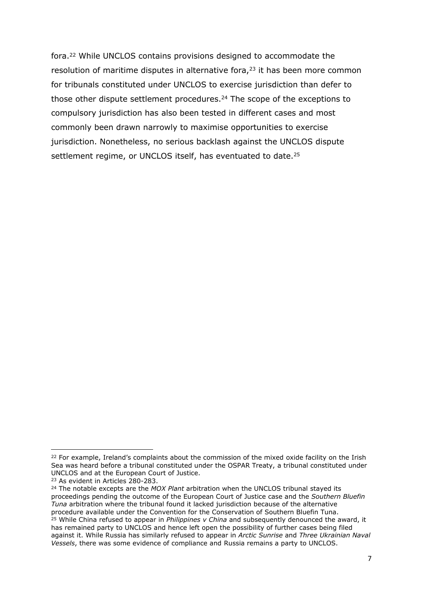fora.<sup>22</sup> While UNCLOS contains provisions designed to accommodate the resolution of maritime disputes in alternative fora,<sup>23</sup> it has been more common for tribunals constituted under UNCLOS to exercise jurisdiction than defer to those other dispute settlement procedures.<sup>24</sup> The scope of the exceptions to compulsory jurisdiction has also been tested in different cases and most commonly been drawn narrowly to maximise opportunities to exercise jurisdiction. Nonetheless, no serious backlash against the UNCLOS dispute settlement regime, or UNCLOS itself, has eventuated to date.<sup>25</sup>

<sup>&</sup>lt;sup>22</sup> For example, Ireland's complaints about the commission of the mixed oxide facility on the Irish Sea was heard before a tribunal constituted under the OSPAR Treaty, a tribunal constituted under UNCLOS and at the European Court of Justice.

<sup>23</sup> As evident in Articles 280-283.

<sup>24</sup> The notable excepts are the *MOX Plant* arbitration when the UNCLOS tribunal stayed its proceedings pending the outcome of the European Court of Justice case and the *Southern Bluefin Tuna* arbitration where the tribunal found it lacked jurisdiction because of the alternative procedure available under the Convention for the Conservation of Southern Bluefin Tuna. <sup>25</sup> While China refused to appear in *Philippines v China* and subsequently denounced the award, it has remained party to UNCLOS and hence left open the possibility of further cases being filed

against it. While Russia has similarly refused to appear in *Arctic Sunrise* and *Three Ukrainian Naval Vessels*, there was some evidence of compliance and Russia remains a party to UNCLOS.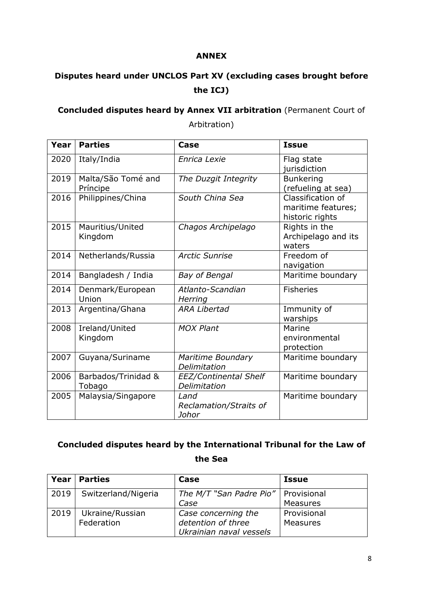#### **ANNEX**

# **Disputes heard under UNCLOS Part XV (excluding cases brought before the ICJ)**

### **Concluded disputes heard by Annex VII arbitration** (Permanent Court of Arbitration)

| Year | <b>Parties</b>                 | Case                                    | <b>Issue</b>                                               |
|------|--------------------------------|-----------------------------------------|------------------------------------------------------------|
| 2020 | Italy/India                    | Enrica Lexie                            | Flag state<br>jurisdiction                                 |
| 2019 | Malta/São Tomé and<br>Príncipe | The Duzgit Integrity                    | <b>Bunkering</b><br>(refueling at sea)                     |
| 2016 | Philippines/China              | South China Sea                         | Classification of<br>maritime features;<br>historic rights |
| 2015 | Mauritius/United<br>Kingdom    | Chagos Archipelago                      | Rights in the<br>Archipelago and its<br>waters             |
| 2014 | Netherlands/Russia             | <b>Arctic Sunrise</b>                   | Freedom of<br>navigation                                   |
| 2014 | Bangladesh / India             | <b>Bay of Bengal</b>                    | Maritime boundary                                          |
| 2014 | Denmark/European<br>Union      | Atlanto-Scandian<br>Herring             | <b>Fisheries</b>                                           |
| 2013 | Argentina/Ghana                | <b>ARA Libertad</b>                     | Immunity of<br>warships                                    |
| 2008 | Ireland/United<br>Kingdom      | <b>MOX Plant</b>                        | Marine<br>environmental<br>protection                      |
| 2007 | Guyana/Suriname                | Maritime Boundary<br>Delimitation       | Maritime boundary                                          |
| 2006 | Barbados/Trinidad &<br>Tobago  | EEZ/Continental Shelf<br>Delimitation   | Maritime boundary                                          |
| 2005 | Malaysia/Singapore             | Land<br>Reclamation/Straits of<br>Johor | Maritime boundary                                          |

## **Concluded disputes heard by the International Tribunal for the Law of the Sea**

| Year | <b>Parties</b>      | Case                                  | Issue           |
|------|---------------------|---------------------------------------|-----------------|
| 2019 | Switzerland/Nigeria | The M/T "San Padre Pio"   Provisional |                 |
|      |                     | Case                                  | <b>Measures</b> |
| 2019 | Ukraine/Russian     | Case concerning the                   | Provisional     |
|      | Federation          | detention of three                    | <b>Measures</b> |
|      |                     | Ukrainian naval vessels               |                 |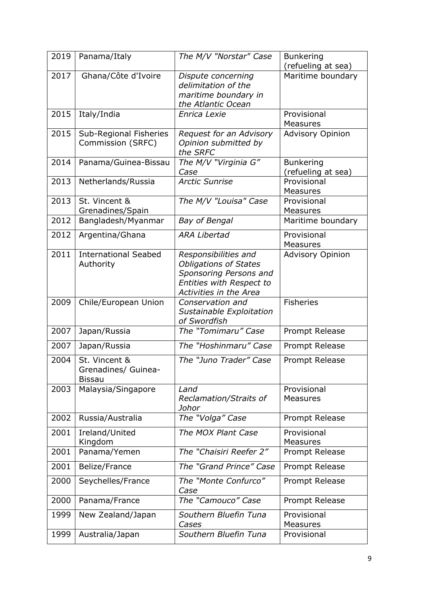| 2019 | Panama/Italy                                          | The M/V "Norstar" Case                                                                                                                      | <b>Bunkering</b><br>(refueling at sea) |
|------|-------------------------------------------------------|---------------------------------------------------------------------------------------------------------------------------------------------|----------------------------------------|
| 2017 | Ghana/Côte d'Ivoire                                   | Dispute concerning<br>delimitation of the<br>maritime boundary in<br>the Atlantic Ocean                                                     | Maritime boundary                      |
| 2015 | Italy/India                                           | Enrica Lexie                                                                                                                                | Provisional<br><b>Measures</b>         |
| 2015 | Sub-Regional Fisheries<br>Commission (SRFC)           | Request for an Advisory<br>Opinion submitted by<br>the SRFC                                                                                 | <b>Advisory Opinion</b>                |
| 2014 | Panama/Guinea-Bissau                                  | The M/V "Virginia G"<br>Case                                                                                                                | <b>Bunkering</b><br>(refueling at sea) |
| 2013 | Netherlands/Russia                                    | <b>Arctic Sunrise</b>                                                                                                                       | Provisional<br><b>Measures</b>         |
| 2013 | St. Vincent &<br>Grenadines/Spain                     | The M/V "Louisa" Case                                                                                                                       | Provisional<br><b>Measures</b>         |
| 2012 | Bangladesh/Myanmar                                    | Bay of Bengal                                                                                                                               | Maritime boundary                      |
| 2012 | Argentina/Ghana                                       | <b>ARA Libertad</b>                                                                                                                         | Provisional<br><b>Measures</b>         |
| 2011 | <b>International Seabed</b><br>Authority              | Responsibilities and<br><b>Obligations of States</b><br>Sponsoring Persons and<br>Entities with Respect to<br><b>Activities in the Area</b> | <b>Advisory Opinion</b>                |
| 2009 | Chile/European Union                                  | Conservation and<br>Sustainable Exploitation<br>of Swordfish                                                                                | <b>Fisheries</b>                       |
| 2007 | Japan/Russia                                          | The "Tomimaru" Case                                                                                                                         | Prompt Release                         |
| 2007 | Japan/Russia                                          | The "Hoshinmaru" Case                                                                                                                       | Prompt Release                         |
| 2004 | St. Vincent &<br>Grenadines/ Guinea-<br><b>Bissau</b> | The "Juno Trader" Case                                                                                                                      | Prompt Release                         |
| 2003 | Malaysia/Singapore                                    | Land<br>Reclamation/Straits of<br>Johor                                                                                                     | Provisional<br><b>Measures</b>         |
| 2002 | Russia/Australia                                      | The "Volga" Case                                                                                                                            | Prompt Release                         |
| 2001 | Ireland/United<br>Kingdom                             | The MOX Plant Case                                                                                                                          | Provisional<br><b>Measures</b>         |
| 2001 | Panama/Yemen                                          | The "Chaisiri Reefer 2"                                                                                                                     | Prompt Release                         |
| 2001 | Belize/France                                         | The "Grand Prince" Case                                                                                                                     | Prompt Release                         |
| 2000 | Seychelles/France                                     | The "Monte Confurco"<br>Case                                                                                                                | Prompt Release                         |
| 2000 | Panama/France                                         | The "Camouco" Case                                                                                                                          | Prompt Release                         |
| 1999 | New Zealand/Japan                                     | Southern Bluefin Tuna<br>Cases                                                                                                              | Provisional<br>Measures                |
| 1999 | Australia/Japan                                       | Southern Bluefin Tuna                                                                                                                       | Provisional                            |